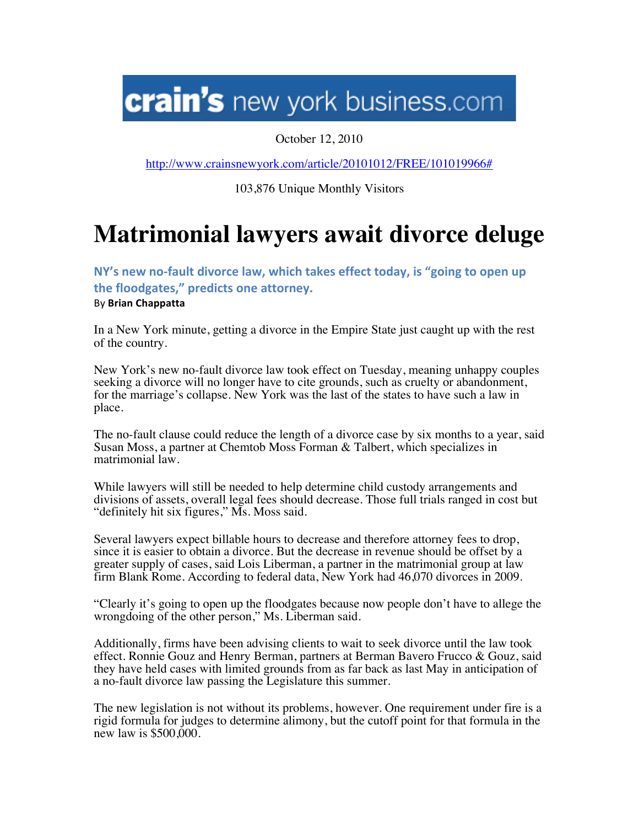## **crain's** new york business.com

October 12, 2010

http://www.crainsnewyork.com/article/20101012/FREE/101019966#

103,876 Unique Monthly Visitors

## **Matrimonial lawyers await divorce deluge**

NY's new no-fault divorce law, which takes effect today, is "going to open up the floodgates," predicts one attorney.

## By#**Brian%Chappatta**

In a New York minute, getting a divorce in the Empire State just caught up with the rest of the country.

New York's new no-fault divorce law took effect on Tuesday, meaning unhappy couples seeking a divorce will no longer have to cite grounds, such as cruelty or abandonment, for the marriage's collapse. New York was the last of the states to have such a law in place.

The no-fault clause could reduce the length of a divorce case by six months to a year, said Susan Moss, a partner at Chemtob Moss Forman & Talbert, which specializes in matrimonial law.

While lawyers will still be needed to help determine child custody arrangements and divisions of assets, overall legal fees should decrease. Those full trials ranged in cost but "definitely hit six figures," Ms. Moss said.

Several lawyers expect billable hours to decrease and therefore attorney fees to drop, since it is easier to obtain a divorce. But the decrease in revenue should be offset by a greater supply of cases, said Lois Liberman, a partner in the matrimonial group at law firm Blank Rome. According to federal data, New York had 46,070 divorces in 2009.

"Clearly it's going to open up the floodgates because now people don't have to allege the wrongdoing of the other person," Ms. Liberman said.

Additionally, firms have been advising clients to wait to seek divorce until the law took effect. Ronnie Gouz and Henry Berman, partners at Berman Bavero Frucco & Gouz, said they have held cases with limited grounds from as far back as last May in anticipation of a no-fault divorce law passing the Legislature this summer.

The new legislation is not without its problems, however. One requirement under fire is a rigid formula for judges to determine alimony, but the cutoff point for that formula in the new law is \$500,000.